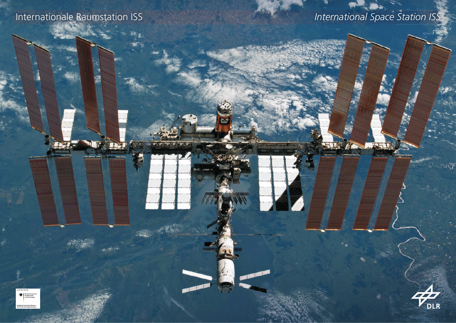

## Internationale Raumstation ISS *International Space Station ISS*



wy